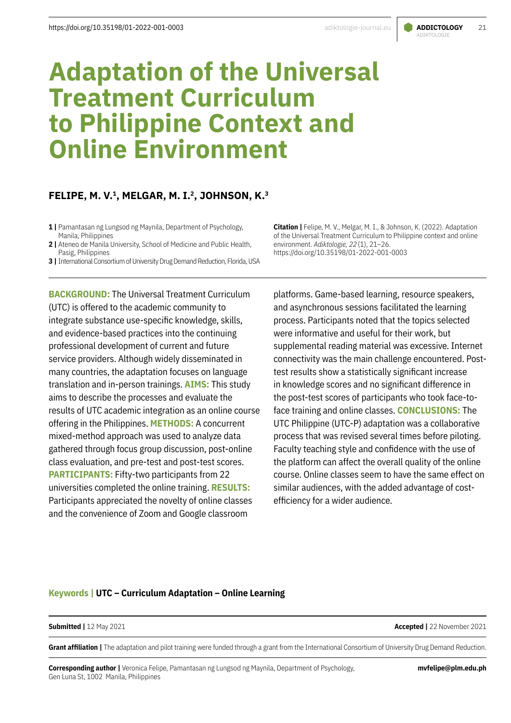# ADIKTOLOGIE

# **Adaptation of the Universal Treatment Curriculum to Philippine Context and Online Environment**

## **FELIPE, M. V.1, MELGAR, M. I.2, JOHNSON, K.3**

**2 |** Ateneo de Manila University, School of Medicine and Public Health, Pasig, Philippines

**3 |** International Consortium of University Drug Demand Reduction, Florida, USA

**BACKGROUND:** The Universal Treatment Curriculum (UTC) is offered to the academic community to integrate substance use-specific knowledge, skills, and evidence-based practices into the continuing professional development of current and future service providers. Although widely disseminated in many countries, the adaptation focuses on language translation and in-person trainings. **AIMS:** This study aims to describe the processes and evaluate the results of UTC academic integration as an online course offering in the Philippines. **METHODS:** A concurrent mixed-method approach was used to analyze data gathered through focus group discussion, post-online class evaluation, and pre-test and post-test scores. **PARTICIPANTS:** Fifty-two participants from 22 universities completed the online training. **RESULTS:** Participants appreciated the novelty of online classes and the convenience of Zoom and Google classroom

**Citation |** Felipe, M. V., Melgar, M. I., & Johnson, K. (2022). Adaptation of the Universal Treatment Curriculum to Philippine context and online environment. *Adiktologie, 22*(1), 21–26. <https://doi.org/10.35198/01-2022-001-0003>

platforms. Game-based learning, resource speakers, and asynchronous sessions facilitated the learning process. Participants noted that the topics selected were informative and useful for their work, but supplemental reading material was excessive. Internet connectivity was the main challenge encountered. Posttest results show a statistically significant increase in knowledge scores and no significant difference in the post-test scores of participants who took face-toface training and online classes. **CONCLUSIONS:** The UTC Philippine (UTC-P) adaptation was a collaborative process that was revised several times before piloting. Faculty teaching style and confidence with the use of the platform can affect the overall quality of the online course. Online classes seem to have the same effect on similar audiences, with the added advantage of costefficiency for a wider audience.

#### **Keywords | UTC – Curriculum Adaptation – Online Learning**

#### **Submitted |** 12 May 2021

**Accepted |** 22 November 2021

**Grant affiliation |** The adaptation and pilot training were funded through a grant from the International Consortium of University Drug Demand Reduction.

**Corresponding author |** Veronica Felipe, Pamantasan ng Lungsod ng Maynila, Department of Psychology, Gen Luna St, 1002 Manila, Philippines

**<sup>1 |</sup>** Pamantasan ng Lungsod ng Maynila, Department of Psychology, Manila, Philippines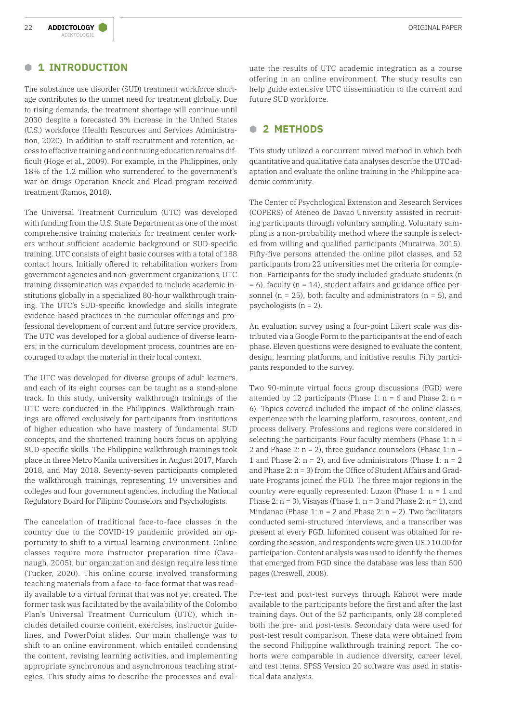#### **B 1 INTRODUCTION**

The substance use disorder (SUD) treatment workforce shortage contributes to the unmet need for treatment globally. Due to rising demands, the treatment shortage will continue until 2030 despite a forecasted 3% increase in the United States (U.S.) workforce (Health Resources and Services Administration, 2020). In addition to staff recruitment and retention, access to effective training and continuing education remains difficult (Hoge et al., 2009). For example, in the Philippines, only 18% of the 1.2 million who surrendered to the government's war on drugs Operation Knock and Plead program received treatment (Ramos, 2018).

The Universal Treatment Curriculum (UTC) was developed with funding from the U.S. State Department as one of the most comprehensive training materials for treatment center workers without sufficient academic background or SUD-specific training. UTC consists of eight basic courses with a total of 188 contact hours. Initially offered to rehabilitation workers from government agencies and non-government organizations, UTC training dissemination was expanded to include academic institutions globally in a specialized 80-hour walkthrough training. The UTC's SUD-specific knowledge and skills integrate evidence-based practices in the curricular offerings and professional development of current and future service providers. The UTC was developed for a global audience of diverse learners; in the curriculum development process, countries are encouraged to adapt the material in their local context.

The UTC was developed for diverse groups of adult learners, and each of its eight courses can be taught as a stand-alone track. In this study, university walkthrough trainings of the UTC were conducted in the Philippines. Walkthrough trainings are offered exclusively for participants from institutions of higher education who have mastery of fundamental SUD concepts, and the shortened training hours focus on applying SUD-specific skills. The Philippine walkthrough trainings took place in three Metro Manila universities in August 2017, March 2018, and May 2018. Seventy-seven participants completed the walkthrough trainings, representing 19 universities and colleges and four government agencies, including the National Regulatory Board for Filipino Counselors and Psychologists.

The cancelation of traditional face-to-face classes in the country due to the COVID-19 pandemic provided an opportunity to shift to a virtual learning environment. Online classes require more instructor preparation time (Cavanaugh, 2005), but organization and design require less time (Tucker, 2020). This online course involved transforming teaching materials from a face-to-face format that was readily available to a virtual format that was not yet created. The former task was facilitated by the availability of the Colombo Plan's Universal Treatment Curriculum (UTC), which includes detailed course content, exercises, instructor guidelines, and PowerPoint slides. Our main challenge was to shift to an online environment, which entailed condensing the content, revising learning activities, and implementing appropriate synchronous and asynchronous teaching strategies. This study aims to describe the processes and evaluate the results of UTC academic integration as a course offering in an online environment. The study results can help guide extensive UTC dissemination to the current and future SUD workforce.

### **B 2 METHODS**

This study utilized a concurrent mixed method in which both quantitative and qualitative data analyses describe the UTC adaptation and evaluate the online training in the Philippine academic community.

The Center of Psychological Extension and Research Services (COPERS) of Ateneo de Davao University assisted in recruiting participants through voluntary sampling. Voluntary sampling is a non-probability method where the sample is selected from willing and qualified participants (Murairwa, 2015). Fifty-five persons attended the online pilot classes, and 52 participants from 22 universities met the criteria for completion. Participants for the study included graduate students (n  $= 6$ ), faculty (n = 14), student affairs and guidance office personnel ( $n = 25$ ), both faculty and administrators ( $n = 5$ ), and psychologists (n = 2).

An evaluation survey using a four-point Likert scale was distributed via a Google Form to the participants at the end of each phase. Eleven questions were designed to evaluate the content, design, learning platforms, and initiative results. Fifty participants responded to the survey.

Two 90-minute virtual focus group discussions (FGD) were attended by 12 participants (Phase 1:  $n = 6$  and Phase 2:  $n =$ 6). Topics covered included the impact of the online classes, experience with the learning platform, resources, content, and process delivery. Professions and regions were considered in selecting the participants. Four faculty members (Phase  $1: n =$ 2 and Phase 2:  $n = 2$ ), three guidance counselors (Phase 1:  $n =$ 1 and Phase 2:  $n = 2$ ), and five administrators (Phase 1:  $n = 2$ ) and Phase 2: n = 3) from the Office of Student Affairs and Graduate Programs joined the FGD. The three major regions in the country were equally represented: Luzon (Phase  $1: n = 1$  and Phase 2:  $n = 3$ ), Visayas (Phase 1:  $n = 3$  and Phase 2:  $n = 1$ ), and Mindanao (Phase 1:  $n = 2$  and Phase 2:  $n = 2$ ). Two facilitators conducted semi-structured interviews, and a transcriber was present at every FGD. Informed consent was obtained for recording the session, and respondents were given USD 10.00 for participation. Content analysis was used to identify the themes that emerged from FGD since the database was less than 500 pages (Creswell, 2008).

Pre-test and post-test surveys through Kahoot were made available to the participants before the first and after the last training days. Out of the 52 participants, only 28 completed both the pre- and post-tests. Secondary data were used for post-test result comparison. These data were obtained from the second Philippine walkthrough training report. The cohorts were comparable in audience diversity, career level, and test items. SPSS Version 20 software was used in statistical data analysis.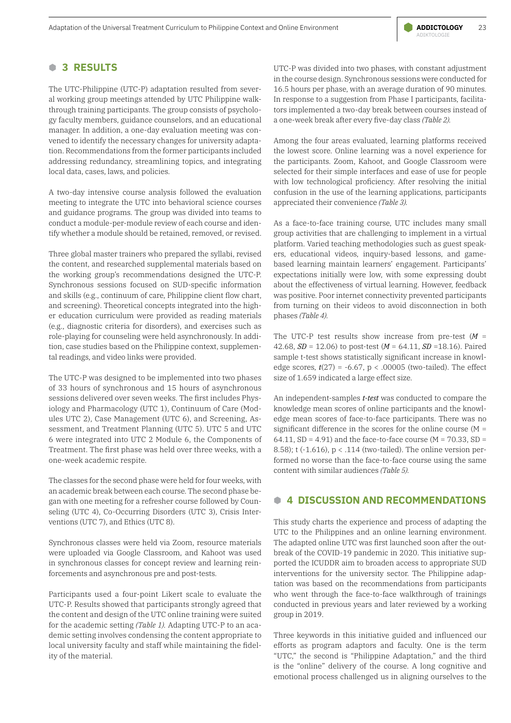#### **B 3 RESULTS**

The UTC-Philippine (UTC-P) adaptation resulted from several working group meetings attended by UTC Philippine walkthrough training participants. The group consists of psychology faculty members, guidance counselors, and an educational manager. In addition, a one-day evaluation meeting was convened to identify the necessary changes for university adaptation. Recommendations from the former participants included addressing redundancy, streamlining topics, and integrating local data, cases, laws, and policies.

A two-day intensive course analysis followed the evaluation meeting to integrate the UTC into behavioral science courses and guidance programs. The group was divided into teams to conduct a module-per-module review of each course and identify whether a module should be retained, removed, or revised.

Three global master trainers who prepared the syllabi, revised the content, and researched supplemental materials based on the working group's recommendations designed the UTC-P. Synchronous sessions focused on SUD-specific information and skills (e.g., continuum of care, Philippine client flow chart, and screening). Theoretical concepts integrated into the higher education curriculum were provided as reading materials (e.g., diagnostic criteria for disorders), and exercises such as role-playing for counseling were held asynchronously. In addition, case studies based on the Philippine context, supplemental readings, and video links were provided.

The UTC-P was designed to be implemented into two phases of 33 hours of synchronous and 15 hours of asynchronous sessions delivered over seven weeks. The first includes Physiology and Pharmacology (UTC 1), Continuum of Care (Modules UTC 2), Case Management (UTC 6), and Screening, Assessment, and Treatment Planning (UTC 5). UTC 5 and UTC 6 were integrated into UTC 2 Module 6, the Components of Treatment. The first phase was held over three weeks, with a one-week academic respite.

The classes for the second phase were held for four weeks, with an academic break between each course. The second phase began with one meeting for a refresher course followed by Counseling (UTC 4), Co-Occurring Disorders (UTC 3), Crisis Interventions (UTC 7), and Ethics (UTC 8).

Synchronous classes were held via Zoom, resource materials were uploaded via Google Classroom, and Kahoot was used in synchronous classes for concept review and learning reinforcements and asynchronous pre and post-tests.

Participants used a four-point Likert scale to evaluate the UTC-P. Results showed that participants strongly agreed that the content and design of the UTC online training were suited for the academic setting *(Table 1).* Adapting UTC-P to an academic setting involves condensing the content appropriate to local university faculty and staff while maintaining the fidelity of the material.

UTC-P was divided into two phases, with constant adjustment in the course design. Synchronous sessions were conducted for 16.5 hours per phase, with an average duration of 90 minutes. In response to a suggestion from Phase I participants, facilitators implemented a two-day break between courses instead of a one-week break after every five-day class *(Table 2).*

Among the four areas evaluated, learning platforms received the lowest score. Online learning was a novel experience for the participants. Zoom, Kahoot, and Google Classroom were selected for their simple interfaces and ease of use for people with low technological proficiency. After resolving the initial confusion in the use of the learning applications, participants appreciated their convenience *(Table 3).*

As a face-to-face training course, UTC includes many small group activities that are challenging to implement in a virtual platform. Varied teaching methodologies such as guest speakers, educational videos, inquiry-based lessons, and gamebased learning maintain learners' engagement. Participants' expectations initially were low, with some expressing doubt about the effectiveness of virtual learning. However, feedback was positive. Poor internet connectivity prevented participants from turning on their videos to avoid disconnection in both phases *(Table 4).*

The UTC-P test results show increase from pre-test  $(M =$ 42.68, *SD* = 12.06) to post-test (*M* = 64.11, *SD* =18.16). Paired sample t-test shows statistically significant increase in knowledge scores,  $t(27) = -6.67$ ,  $p < .00005$  (two-tailed). The effect size of 1.659 indicated a large effect size.

An independent-samples *t-test* was conducted to compare the knowledge mean scores of online participants and the knowledge mean scores of face-to-face participants. There was no significant difference in the scores for the online course  $(M =$ 64.11, SD = 4.91) and the face-to-face course ( $M = 70.33$ , SD = 8.58); t (-1.616), p < .114 (two-tailed). The online version performed no worse than the face-to-face course using the same content with similar audiences *(Table 5).*

#### **B 4 DISCUSSION AND RECOMMENDATIONS**

This study charts the experience and process of adapting the UTC to the Philippines and an online learning environment. The adapted online UTC was first launched soon after the outbreak of the COVID-19 pandemic in 2020. This initiative supported the ICUDDR aim to broaden access to appropriate SUD interventions for the university sector. The Philippine adaptation was based on the recommendations from participants who went through the face-to-face walkthrough of trainings conducted in previous years and later reviewed by a working group in 2019.

Three keywords in this initiative guided and influenced our efforts as program adaptors and faculty. One is the term "UTC," the second is "Philippine Adaptation," and the third is the "online" delivery of the course. A long cognitive and emotional process challenged us in aligning ourselves to the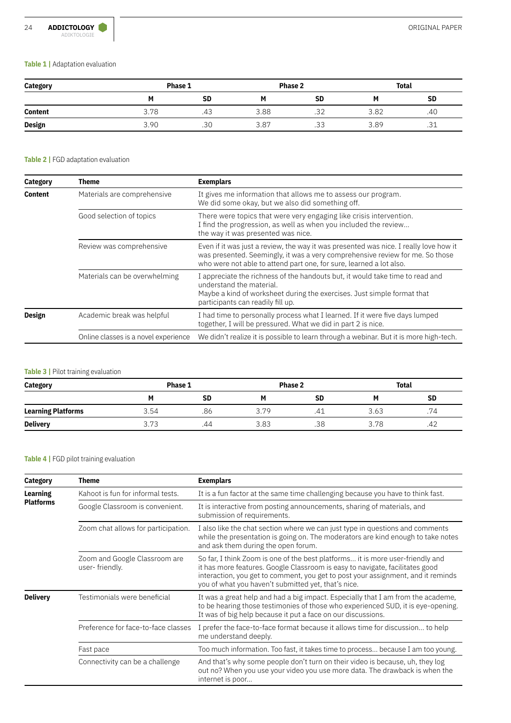#### **Table 1 |** Adaptation evaluation

| <b>Category</b>          | Phase 1 |           | <b>Phase 2</b> |           | Total |                  |
|--------------------------|---------|-----------|----------------|-----------|-------|------------------|
|                          |         | <b>SD</b> | М              | <b>SD</b> | М     | <b>SD</b>        |
| <b>Content</b><br>$\sim$ | 3.78    | د4        | 3.88           | .32       | 3.82  | .40              |
| <b>Design</b>            | 3.90    | .3C       | 3.87           | さ<br>ں ب  | 3.89  | $\bigcap$<br>.∪⊥ |

#### **Table 2 |** FGD adaptation evaluation

| Category       | Theme                                | <b>Exemplars</b>                                                                                                                                                                                                                              |  |  |  |
|----------------|--------------------------------------|-----------------------------------------------------------------------------------------------------------------------------------------------------------------------------------------------------------------------------------------------|--|--|--|
| <b>Content</b> | Materials are comprehensive          | It gives me information that allows me to assess our program.<br>We did some okay, but we also did something off.                                                                                                                             |  |  |  |
|                | Good selection of topics             | There were topics that were very engaging like crisis intervention.<br>I find the progression, as well as when you included the review<br>the way it was presented was nice.                                                                  |  |  |  |
|                | Review was comprehensive             | Even if it was just a review, the way it was presented was nice. I really love how it<br>was presented. Seemingly, it was a very comprehensive review for me. So those<br>who were not able to attend part one, for sure, learned a lot also. |  |  |  |
|                | Materials can be overwhelming        | I appreciate the richness of the handouts but, it would take time to read and<br>understand the material.<br>Maybe a kind of worksheet during the exercises. Just simple format that<br>participants can readily fill up.                     |  |  |  |
| Design         | Academic break was helpful           | I had time to personally process what I learned. If it were five days lumped<br>together, I will be pressured. What we did in part 2 is nice.                                                                                                 |  |  |  |
|                | Online classes is a novel experience | We didn't realize it is possible to learn through a webinar. But it is more high-tech.                                                                                                                                                        |  |  |  |

#### **Table 3 | Pilot training evaluation**

| <b>Category</b>           | Phase 1 |     | Phase 2 |           | <b>Total</b> |           |
|---------------------------|---------|-----|---------|-----------|--------------|-----------|
|                           |         | SD  |         | <b>SD</b> | м            | <b>SD</b> |
| <b>Learning Platforms</b> | 3.54    | .86 | 3.79    | .41       | 3.63         | .74       |
| <b>Delivery</b>           | 3.73    | 44  | 3.83    | .38       | 3.78         | ے 4.      |

## **Table 4 |** FGD pilot training evaluation

| Category                     | Theme                                           | <b>Exemplars</b>                                                                                                                                                                                                                                                                                          |  |  |  |
|------------------------------|-------------------------------------------------|-----------------------------------------------------------------------------------------------------------------------------------------------------------------------------------------------------------------------------------------------------------------------------------------------------------|--|--|--|
| Learning<br><b>Platforms</b> | Kahoot is fun for informal tests.               | It is a fun factor at the same time challenging because you have to think fast.                                                                                                                                                                                                                           |  |  |  |
|                              | Google Classroom is convenient.                 | It is interactive from posting announcements, sharing of materials, and<br>submission of requirements.                                                                                                                                                                                                    |  |  |  |
|                              | Zoom chat allows for participation.             | I also like the chat section where we can just type in questions and comments<br>while the presentation is going on. The moderators are kind enough to take notes<br>and ask them during the open forum.                                                                                                  |  |  |  |
|                              | Zoom and Google Classroom are<br>user-friendly. | So far, I think Zoom is one of the best platforms it is more user-friendly and<br>it has more features. Google Classroom is easy to navigate, facilitates good<br>interaction, you get to comment, you get to post your assignment, and it reminds<br>you of what you haven't submitted yet, that's nice. |  |  |  |
| <b>Delivery</b>              | Testimonials were beneficial                    | It was a great help and had a big impact. Especially that I am from the academe,<br>to be hearing those testimonies of those who experienced SUD, it is eye-opening.<br>It was of big help because it put a face on our discussions.                                                                      |  |  |  |
|                              | Preference for face-to-face classes             | I prefer the face-to-face format because it allows time for discussion to help<br>me understand deeply.                                                                                                                                                                                                   |  |  |  |
|                              | Fast pace                                       | Too much information. Too fast, it takes time to process because I am too young.                                                                                                                                                                                                                          |  |  |  |
|                              | Connectivity can be a challenge                 | And that's why some people don't turn on their video is because, uh, they log<br>out no? When you use your video you use more data. The drawback is when the<br>internet is poor                                                                                                                          |  |  |  |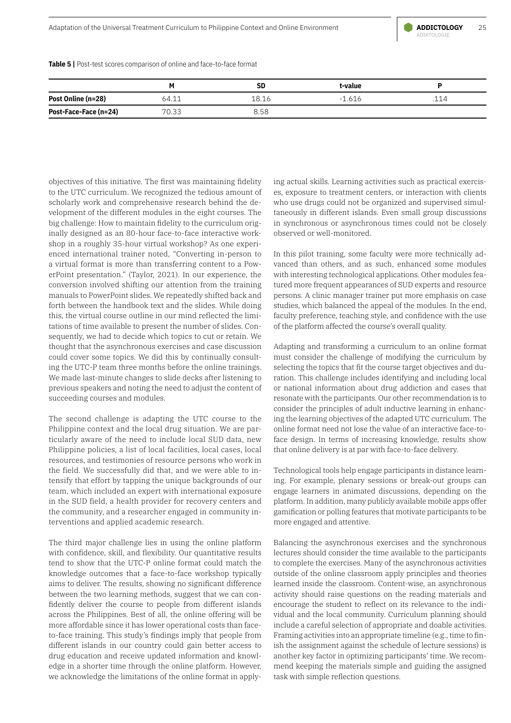

**Table 5 |** Post-test scores comparison of online and face-to-face format

|                       |       | SD    | t-value      |     |
|-----------------------|-------|-------|--------------|-----|
| Post Online (n=28)    | 64.11 | 18.16 | -616<br>$-1$ | 114 |
| Post-Face-Face (n=24) | 70.33 | 8.58  |              |     |

objectives of this initiative. The first was maintaining fidelity to the UTC curriculum. We recognized the tedious amount of scholarly work and comprehensive research behind the development of the different modules in the eight courses. The big challenge: How to maintain fidelity to the curriculum originally designed as an 80-hour face-to-face interactive workshop in a roughly 35-hour virtual workshop? As one experienced international trainer noted, "Converting in-person to a virtual format is more than transferring content to a PowerPoint presentation." (Taylor, 2021). In our experience, the conversion involved shifting our attention from the training manuals to PowerPoint slides. We repeatedly shifted back and forth between the handbook text and the slides. While doing this, the virtual course outline in our mind reflected the limitations of time available to present the number of slides. Consequently, we had to decide which topics to cut or retain. We thought that the asynchronous exercises and case discussion could cover some topics. We did this by continually consulting the UTC-P team three months before the online trainings. We made last-minute changes to slide decks after listening to previous speakers and noting the need to adjust the content of succeeding courses and modules.

The second challenge is adapting the UTC course to the Philippine context and the local drug situation. We are particularly aware of the need to include local SUD data, new Philippine policies, a list of local facilities, local cases, local resources, and testimonies of resource persons who work in the field. We successfully did that, and we were able to intensify that effort by tapping the unique backgrounds of our team, which included an expert with international exposure in the SUD field, a health provider for recovery centers and the community, and a researcher engaged in community interventions and applied academic research.

The third major challenge lies in using the online platform with confidence, skill, and flexibility. Our quantitative results tend to show that the UTC-P online format could match the knowledge outcomes that a face-to-face workshop typically aims to deliver. The results, showing no significant difference between the two learning methods, suggest that we can confidently deliver the course to people from different islands across the Philippines. Best of all, the online offering will be more affordable since it has lower operational costs than faceto-face training. This study's findings imply that people from different islands in our country could gain better access to drug education and receive updated information and knowledge in a shorter time through the online platform. However, we acknowledge the limitations of the online format in applying actual skills. Learning activities such as practical exercises, exposure to treatment centers, or interaction with clients who use drugs could not be organized and supervised simultaneously in different islands. Even small group discussions in synchronous or asynchronous times could not be closely observed or well-monitored.

In this pilot training, some faculty were more technically advanced than others, and as such, enhanced some modules with interesting technological applications. Other modules featured more frequent appearances of SUD experts and resource persons. A clinic manager trainer put more emphasis on case studies, which balanced the appeal of the modules. In the end, faculty preference, teaching style, and confidence with the use of the platform affected the course's overall quality.

Adapting and transforming a curriculum to an online format must consider the challenge of modifying the curriculum by selecting the topics that fit the course target objectives and duration. This challenge includes identifying and including local or national information about drug addiction and cases that resonate with the participants. Our other recommendation is to consider the principles of adult inductive learning in enhancing the learning objectives of the adapted UTC curriculum. The online format need not lose the value of an interactive face-toface design. In terms of increasing knowledge, results show that online delivery is at par with face-to-face delivery.

Technological tools help engage participants in distance learning. For example, plenary sessions or break-out groups can engage learners in animated discussions, depending on the platform. In addition, many publicly available mobile apps offer gamification or polling features that motivate participants to be more engaged and attentive.

Balancing the asynchronous exercises and the synchronous lectures should consider the time available to the participants to complete the exercises. Many of the asynchronous activities outside of the online classroom apply principles and theories learned inside the classroom. Content-wise, an asynchronous activity should raise questions on the reading materials and encourage the student to reflect on its relevance to the individual and the local community. Curriculum planning should include a careful selection of appropriate and doable activities. Framing activities into an appropriate timeline (e.g., time to finish the assignment against the schedule of lecture sessions) is another key factor in optimizing participants' time. We recommend keeping the materials simple and guiding the assigned task with simple reflection questions.